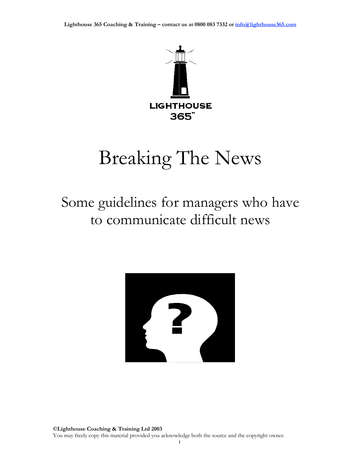

# Breaking The News

## Some guidelines for managers who have to communicate difficult news

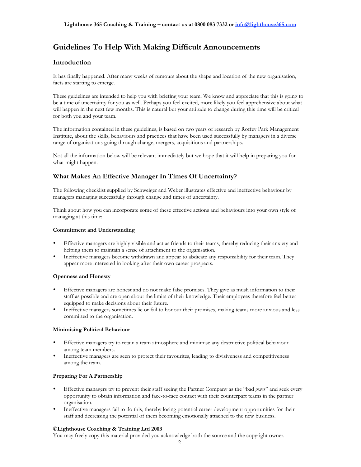## **Guidelines To Help With Making Difficult Announcements**

## **Introduction**

It has finally happened. After many weeks of rumours about the shape and location of the new organisation, facts are starting to emerge.

These guidelines are intended to help you with briefing your team. We know and appreciate that this is going to be a time of uncertainty for you as well. Perhaps you feel excited, more likely you feel apprehensive about what will happen in the next few months. This is natural but your attitude to change during this time will be critical for both you and your team.

The information contained in these guidelines, is based on two years of research by Roffey Park Management Institute, about the skills, behaviours and practices that have been used successfully by managers in a diverse range of organisations going through change, mergers, acquisitions and partnerships.

Not all the information below will be relevant immediately but we hope that it will help in preparing you for what might happen.

## **What Makes An Effective Manager In Times Of Uncertainty?**

The following checklist supplied by Schweiger and Weber illustrates effective and ineffective behaviour by managers managing successfully through change and times of uncertainty.

Think about how you can incorporate some of these effective actions and behaviours into your own style of managing at this time:

## **Commitment and Understanding**

Effective managers are highly visible and act as friends to their teams, thereby reducing their anxiety and helping them to maintain a sense of attachment to the organisation.

Ineffective managers become withdrawn and appear to abdicate any responsibility for their team. They appear more interested in looking after their own career prospects.

## **Openness and Honesty**

Effective managers are honest and do not make false promises. They give as mush information to their staff as possible and are open about the limits of their knowledge. Their employees therefore feel better equipped to make decisions about their future.

Ineffective managers sometimes lie or fail to honour their promises, making teams more anxious and less committed to the organisation.

## **Minimising Political Behaviour**

Effective managers try to retain a team atmosphere and minimise any destructive political behaviour among team members.

Ineffective managers are seen to protect their favourites, leading to divisiveness and competitiveness among the team.

## **Preparing For A Partnership**

Effective managers try to prevent their staff seeing the Partner Company as the "bad guys" and seek every opportunity to obtain information and face-to-face contact with their counterpart teams in the partner organisation.

Ineffective managers fail to do this, thereby losing potential career development opportunities for their staff and decreasing the potential of them becoming emotionally attached to the new business.

## **©Lighthouse Coaching & Training Ltd 2003**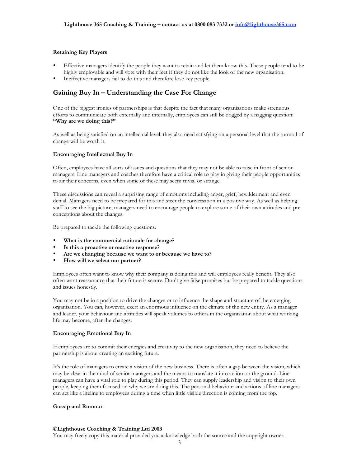## **Retaining Key Players**

Effective managers identify the people they want to retain and let them know this. These people tend to be highly employable and will vote with their feet if they do not like the look of the new organisation. Ineffective managers fail to do this and therefore lose key people.

## **Gaining Buy In – Understanding the Case For Change**

One of the biggest ironies of partnerships is that despite the fact that many organisations make strenuous efforts to communicate both externally and internally, employees can still be dogged by a nagging question: **"Why are we doing this?"**

As well as being satisfied on an intellectual level, they also need satisfying on a personal level that the turmoil of change will be worth it.

## **Encouraging Intellectual Buy In**

Often, employees have all sorts of issues and questions that they may not be able to raise in front of senior managers. Line managers and coaches therefore have a critical role to play in giving their people opportunities to air their concerns, even when some of these may seem trivial or strange.

These discussions can reveal a surprising range of emotions including anger, grief, bewilderment and even denial. Managers need to be prepared for this and steer the conversation in a positive way. As well as helping staff to see the big picture, managers need to encourage people to explore some of their own attitudes and pre conceptions about the changes.

Be prepared to tackle the following questions:

**What is the commercial rationale for change? Is this a proactive or reactive response? Are we changing because we want to or because we have to? How will we select our partner?**

Employees often want to know why their company is doing this and will employees really benefit. They also often want reassurance that their future is secure. Don't give false promises but be prepared to tackle questions and issues honestly.

You may not be in a position to drive the changes or to influence the shape and structure of the emerging organisation. You can, however, exert an enormous influence on the climate of the new entity. As a manager and leader, your behaviour and attitudes will speak volumes to others in the organisation about what working life may become, after the changes.

## **Encouraging Emotional Buy In**

If employees are to commit their energies and creativity to the new organisation, they need to believe the partnership is about creating an exciting future.

It's the role of managers to create a vision of the new business. There is often a gap between the vision, which may be clear in the mind of senior managers and the means to translate it into action on the ground. Line managers can have a vital role to play during this period. They can supply leadership and vision to their own people, keeping them focused on why we are doing this. The personal behaviour and actions of line managers can act like a lifeline to employees during a time when little visible direction is coming from the top.

#### **Gossip and Rumour**

#### **©Lighthouse Coaching & Training Ltd 2003**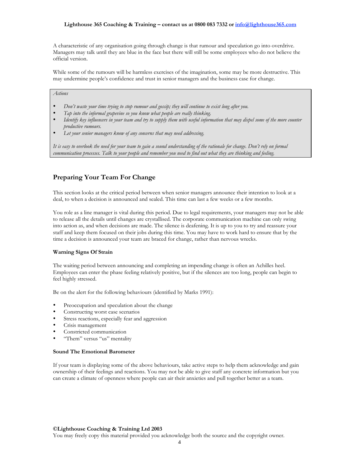## **Lighthouse 365 Coaching & Training – contact us at 0800 083 7332 or info@lighthouse365.com**

A characteristic of any organisation going through change is that rumour and speculation go into overdrive. Managers may talk until they are blue in the face but there will still be some employees who do not believe the official version.

While some of the rumours will be harmless exercises of the imagination, some may be more destructive. This may undermine people's confidence and trust in senior managers and the business case for change.

## *Actions*

*Don't waste your time trying to stop rumour and gossip; they will continue to exist long after you. Tap into the informal grapevine so you know what people are really thinking. Identify key influencers in your team and try to supply them with useful information that may dispel some of the more counter productive rumours. Let your senior managers know of any concerns that may need addressing.*

*It is easy to overlook the need for your team to gain a sound understanding of the rationale for change. Don't rely on formal communication processes. Talk to your people and remember you need to find out what they are thinking and feeling.*

## **Preparing Your Team For Change**

This section looks at the critical period between when senior managers announce their intention to look at a deal, to when a decision is announced and sealed. This time can last a few weeks or a few months.

You role as a line manager is vital during this period. Due to legal requirements, your managers may not be able to release all the details until changes are crystallised. The corporate communication machine can only swing into action as, and when decisions are made. The silence is deafening. It is up to you to try and reassure your staff and keep them focused on their jobs during this time. You may have to work hard to ensure that by the time a decision is announced your team are braced for change, rather than nervous wrecks.

## **Warning Signs Of Strain**

The waiting period between announcing and completing an impending change is often an Achilles heel. Employees can enter the phase feeling relatively positive, but if the silences are too long, people can begin to feel highly stressed.

Be on the alert for the following behaviours (identified by Marks 1991):

Preoccupation and speculation about the change Constructing worst case scenarios Stress reactions, especially fear and aggression Crisis management Constricted communication "Them" versus "us" mentality

## **Sound The Emotional Barometer**

If your team is displaying some of the above behaviours, take active steps to help them acknowledge and gain ownership of their feelings and reactions. You may not be able to give staff any concrete information but you can create a climate of openness where people can air their anxieties and pull together better as a team.

## **©Lighthouse Coaching & Training Ltd 2003**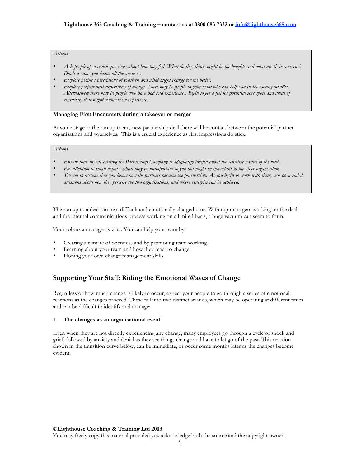## *Actions*

*Ask people open-ended questions about how they feel. What do they think might be the benefits and what are their concerns? Don't assume you know all the answers.*

*Explore people's perceptions of Eastern and what might change for the better.*

*Explore peoples past experiences of change. There may be people in your team who can help you in the coming months. Alternatively there may be people who have had bad experiences. Begin to get a feel for potential sore spots and areas of sensitivity that might colour their experience.*

## **Managing First Encounters during a takeover or merger**

At some stage in the run up to any new partnership deal there will be contact between the potential partner organisations and yourselves. This is a crucial experience as first impressions do stick.

## *Actions*

*Ensure that anyone briefing the Partnership Company is adequately briefed about the sensitive nature of the visit. Pay attention to small details, which may be unimportant to you but might be important to the other organisation. Try not to assume that you know how the partners perceive the partnership. As you begin to work with them, ask open-ended questions about how they perceive the two organisations, and where synergies can be achieved.*

The run up to a deal can be a difficult and emotionally charged time. With top managers working on the deal and the internal communications process working on a limited basis, a huge vacuum can seem to form.

Your role as a manager is vital. You can help your team by:

Creating a climate of openness and by promoting team working. Learning about your team and how they react to change. Honing your own change management skills.

## **Supporting Your Staff: Riding the Emotional Waves of Change**

Regardless of how much change is likely to occur, expect your people to go through a series of emotional reactions as the changes proceed. These fall into two distinct strands, which may be operating at different times and can be difficult to identify and manage:

## **1. The changes as an organisational event**

Even when they are not directly experiencing any change, many employees go through a cycle of shock and grief, followed by anxiety and denial as they see things change and have to let go of the past. This reaction shown in the transition curve below, can be immediate, or occur some months later as the changes become evident.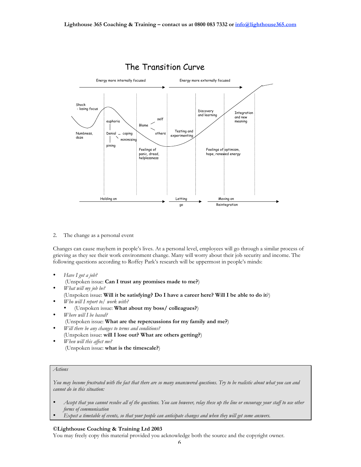

2. The change as a personal event

Changes can cause mayhem in people's lives. At a personal level, employees will go through a similar process of grieving as they see their work environment change. Many will worry about their job security and income. The following questions according to Roffey Park's research will be uppermost in people's minds:

*Have I got a job?* (Unspoken issue: **Can I trust any promises made to me?**) *What will my job be?* (Unspoken issue: **Will it be satisfying? Do I have a career here? Will I be able to do it**?) *Who will I report to/ work with?* (Unspoken issue: **What about my boss/ colleagues?**) *Where will I be based?* (Unspoken issue: **What are the repercussions for my family and me?**) *Will there be any changes to terms and conditions?* (Unspoken issue: **will I lose out? What are others getting?**) *When will this affect me?* (Unspoken issue: **what is the timescale?**)

## *Actions*

*You may become frustrated with the fact that there are so many unanswered questions. Try to be realistic about what you can and cannot do in this situation:*

*Accept that you cannot resolve all of the questions. You can however, relay these up the line or encourage your staff to use other forms of communication*

*Expect a timetable of events, so that your people can anticipate changes and when they will get some answers.*

#### **©Lighthouse Coaching & Training Ltd 2003**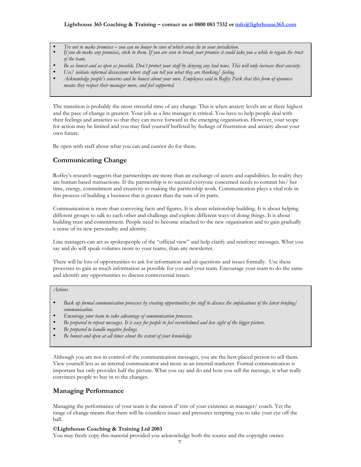## **Lighthouse 365 Coaching & Training – contact us at 0800 083 7332 or info@lighthouse365.com**

*Try not to make promises – you can no longer be sure of which areas lie in your jurisdiction. If you do make any promises, stick to them. If you are seen to break your promise it could take you a while to regain the trust of the team.*

*Be as honest and as open as possible. Don't protect your staff by denying any bad news. This will only increase their anxiety. Use/ initiate informal discussions where staff can tell you what they are thinking/ feeling. Acknowledge people's concerns and be honest about your own. Employees said to Roffey Park that this form of openness*

*means they respect their manager more, and feel supported.*

The transition is probably the most stressful time of any change. This is when anxiety levels are at there highest and the pace of change is greatest. Your job as a line manager is critical. You have to help people deal with their feelings and anxieties so that they can move forward in the emerging organisation. However, your scope for action may be limited and you may find yourself buffeted by feelings of frustration and anxiety about your own future.

Be open with staff about what you can and cannot do for them.

## **Communicating Change**

Roffey's research suggests that partnerships are more than an exchange of assets and capabilities. In reality they are human based transactions. If the partnership is to succeed everyone concerned needs to commit his/ her time, energy, commitment and creativity to making the partnership work. Communication plays a vital role in this process of building a business that is greater than the sum of its parts.

Communication is more than conveying facts and figures. It is about relationship building. It is about helping different groups to talk to each other and challenge and explore different ways of doing things. It is about building trust and commitment. People need to become attached to the new organisation and to gain gradually a sense of its new personality and identity.

Line managers can act as spokespeople of the "official view" and help clarify and reinforce messages. What you say and do will speak volumes more to your teams, than any newsletter.

There will be lots of opportunities to ask for information and air questions and issues formally. Use these processes to gain as much information as possible for you and your team. Encourage your team to do the same and identify any opportunities to discuss controversial issues.

*Actions*

*Back up formal communication processes by creating opportunities for staff to discuss the implications of the latest briefing/ communication.*

*Encourage your team to take advantage of communication processes. Be prepared to repeat messages. It is easy for people to feel overwhelmed and lose sight of the bigger picture. Be prepared to handle negative feelings. Be honest and open at all times about the extent of your knowledge.*

Although you are not in control of the communication messages, you are the best-placed person to sell them. View yourself less as an internal communicator and more as an internal marketer. Formal communication is important but only provides half the picture. What you say and do and how you sell the message, is what really convinces people to buy in to the changes.

## **Managing Performance**

Managing the performance of your team is the raison d^etre of your existence as manager/ coach. Yet the range of change means that there will be countless issues and pressures tempting you to take your eye off the ball.

## **©Lighthouse Coaching & Training Ltd 2003**